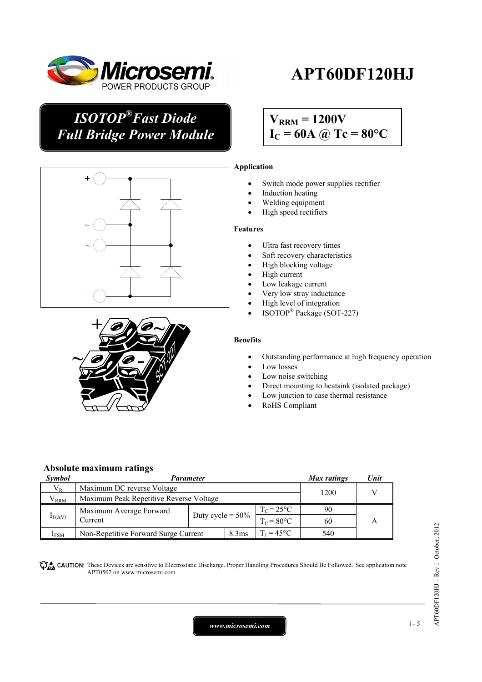

## *ISOTOP®Fast Diode Full Bridge Power Module*

## $V_{\text{RRM}} = 1200V$  $I_C = 60A$  @ Tc = 80°C





### **Application**

- Switch mode power supplies rectifier
- Induction heating
- Welding equipment
- High speed rectifiers

#### **Features**

- Ultra fast recovery times
- Soft recovery characteristics
- High blocking voltage
- High current
- Low leakage current
- Very low stray inductance
- High level of integration
- ISOTOP® Package (SOT-227)

#### **Benefits**

- Outstanding performance at high frequency operation
- Low losses
- Low noise switching
- Direct mounting to heatsink (isolated package)
- Low junction to case thermal resistance
- RoHS Compliant

#### **Absolute maximum ratings**

| <i>Symbol</i>    | <b>Parameter</b>                        |                     |  | Max ratings           | Unit |  |  |
|------------------|-----------------------------------------|---------------------|--|-----------------------|------|--|--|
| $V_{R}$          | Maximum DC reverse Voltage              |                     |  | 1200                  |      |  |  |
| $V^{}_{\rm RRM}$ | Maximum Peak Repetitive Reverse Voltage |                     |  |                       |      |  |  |
| $I_{F(AV)}$      | Maximum Average Forward                 |                     |  | $T_c = 25^{\circ}C$   | 90   |  |  |
|                  | Current                                 | Duty cycle = $50\%$ |  | $T_c = 80^{\circ}$ C  | 60   |  |  |
| $1_{\rm{FSM}}$   | Non-Repetitive Forward Surge Current    | 8.3 <sub>ms</sub>   |  | $T_{I} = 45^{\circ}C$ | 540  |  |  |

CAUTION: These Devices are sensitive to Electrostatic Discharge. Proper Handling Procedures Should Be Followed. See application note APT0502 on www.microsemi.com

*www.microsemi.com* 1-5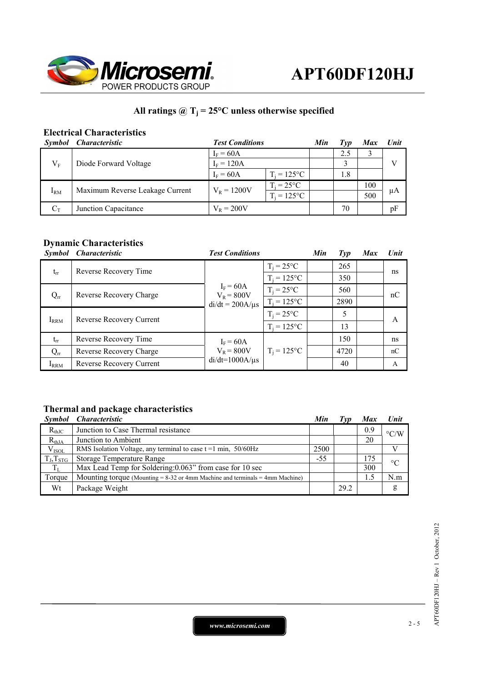

## All ratings  $@T_j = 25°C$  unless otherwise specified

## **Electrical Characteristics**

| <b>Symbol</b> | <i><b>Characteristic</b></i>    | <b>Test Conditions</b>               |                | Min | Tvp | <b>Max</b> | Unit |
|---------------|---------------------------------|--------------------------------------|----------------|-----|-----|------------|------|
| $V_{\rm F}$   | Diode Forward Voltage           | $I_F = 60A$                          |                |     | 2.5 |            |      |
|               |                                 | $I_F = 120A$                         |                |     |     |            |      |
|               |                                 | $I_F = 60A$                          | $T_i = 125$ °C |     | 1.8 |            |      |
| $I_{RM}$      | Maximum Reverse Leakage Current | $T_i = 25^{\circ}C$<br>$V_R = 1200V$ |                |     |     | 100        |      |
|               |                                 |                                      | $T_i = 125$ °C |     |     | 500        | μA   |
| $C_T$         | Junction Capacitance            | $V_{R} = 200V$                       |                |     | 70  |            | pF   |

### **Dynamic Characteristics**

|           | Symbol Characteristic    | <b>Test Conditions</b>                               |                | Min | $\mathcal{I}yp$ | <b>Max</b> | Unit |
|-----------|--------------------------|------------------------------------------------------|----------------|-----|-----------------|------------|------|
| $t_{rr}$  | Reverse Recovery Time    | $I_F = 60A$<br>$V_R = 800V$<br>$di/dt = 200A/\mu s$  | $T_i = 25$ °C  |     | 265             |            | ns   |
|           |                          |                                                      | $T_i = 125$ °C |     | 350             |            |      |
| $Q_{rr}$  | Reverse Recovery Charge  |                                                      | $T_i = 25$ °C  |     | 560             |            | nC   |
|           |                          |                                                      | $T_i = 125$ °C |     | 2890            |            |      |
| $I_{RRM}$ | Reverse Recovery Current |                                                      | $T_i = 25$ °C  |     | 5               |            | A    |
|           |                          |                                                      | $T_i = 125$ °C |     | 13              |            |      |
| $t_{rr}$  | Reverse Recovery Time    | $I_F = 60A$<br>$V_R = 800V$<br>$di/dt = 1000A/\mu s$ |                |     | 150             |            | ns   |
| $Q_{rr}$  | Reverse Recovery Charge  |                                                      | $T_i = 125$ °C |     | 4720            |            | nC   |
| IRRM      | Reverse Recovery Current |                                                      |                |     | 40              |            | A    |

## **Thermal and package characteristics**

| <i>Symbol</i>  | <i><b>Characteristic</b></i>                                                      | Min   | $\Gamma v p$ | <b>Max</b> | <b>Unit</b>        |
|----------------|-----------------------------------------------------------------------------------|-------|--------------|------------|--------------------|
| $R_{thJC}$     | Junction to Case Thermal resistance                                               |       |              | 0.9        | $\rm ^{\circ}$ C/W |
| $R_{thJA}$     | Junction to Ambient                                                               |       |              | 20         |                    |
| $V_{ISOL}$     | RMS Isolation Voltage, any terminal to case $t = 1$ min, 50/60Hz                  | 2500  |              |            |                    |
| $T_J, T_{STG}$ | Storage Temperature Range                                                         | $-55$ |              | 175        | $\rm ^{\circ}C$    |
| $T_{L}$        | Max Lead Temp for Soldering: 0.063" from case for 10 sec                          |       |              | 300        |                    |
| Torque         | Mounting torque (Mounting $= 8-32$ or 4mm Machine and terminals $= 4$ mm Machine) |       |              | 1.5        | N.m                |
| Wt             | Package Weight                                                                    |       | 29.2         |            | g                  |

*www.microsemi.com* 2-5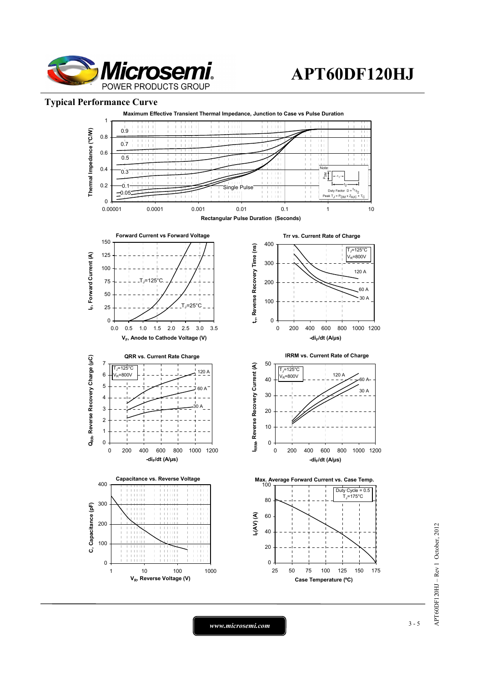

### **Typical Performance Curve**



APT60DF120HJ - Rev 1 October, 2012 APT60DF120HJ – Rev 1 October, 2012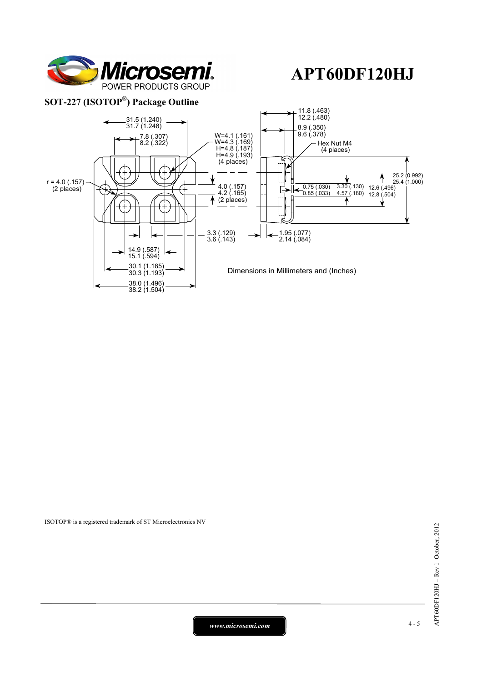

### **SOT-227 (ISOTOP®) Package Outline**



ISOTOP® is a registered trademark of ST Microelectronics NV

*www.microsemi.com* 4-5